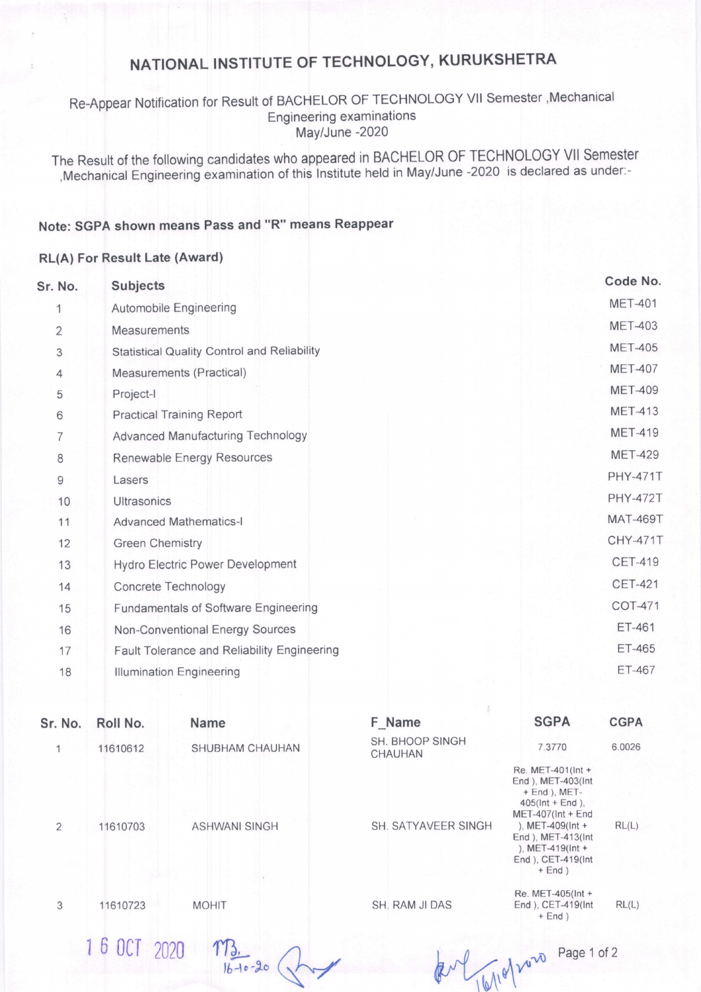# NATIONAL INSTITUTE OF TECHNOLOGY, KURUKSHETRA

### Re-Appear Notification for Result of BACHELOR OF TECHNOLOGY Vlt Semester ,Mechanical Engineering examinations May/June -2020

The Resutt of the folowing candidates who appeared in BACHELOR OF TECHNOLOGY Vll Semester ,Mechanical Engineering-examination of this lnstitute held in May/June -2020 is declared as under:-

### Note: SGPA shown means Pass and "R" means Reappear

#### RL(A) For Result Late (Award)

| Sr. No.        | <b>Subjects</b>                                    | Code No.        |
|----------------|----------------------------------------------------|-----------------|
| 1              | Automobile Engineering                             | <b>MET-401</b>  |
| $\overline{2}$ | <b>Measurements</b>                                | <b>MET-403</b>  |
| 3              | <b>Statistical Quality Control and Reliability</b> | <b>MET-405</b>  |
| $\overline{4}$ | Measurements (Practical)                           | <b>MET-407</b>  |
| 5              | Project-I                                          | <b>MET-409</b>  |
| 6              | <b>Practical Training Report</b>                   | <b>MET-413</b>  |
| 7              | <b>Advanced Manufacturing Technology</b>           | <b>MET-419</b>  |
| 8              | Renewable Energy Resources                         | <b>MET-429</b>  |
| 9              | Lasers                                             | <b>PHY-471T</b> |
| 10             | <b>Ultrasonics</b>                                 | <b>PHY-472T</b> |
| 11             | <b>Advanced Mathematics-I</b>                      | <b>MAT-469T</b> |
| 12             | <b>Green Chemistry</b>                             | <b>CHY-471T</b> |
| 13             | <b>Hydro Electric Power Development</b>            | <b>CET-419</b>  |
| 14             | Concrete Technology                                | <b>CET-421</b>  |
| 15             | Fundamentals of Software Engineering               | <b>COT-471</b>  |
| 16             | Non-Conventional Energy Sources                    | ET-461          |
| 17             | Fault Tolerance and Reliability Engineering        | <b>ET-465</b>   |
| 18             | <b>Illumination Engineering</b>                    | <b>ET-467</b>   |
|                |                                                    |                 |

| Sr. No.      | Roll No.     | <b>Name</b>            | F_Name                            | <b>SGPA</b>                                                                                                                                                                                                      | <b>CGPA</b> |
|--------------|--------------|------------------------|-----------------------------------|------------------------------------------------------------------------------------------------------------------------------------------------------------------------------------------------------------------|-------------|
| $\mathbf{1}$ | 11610612     | SHUBHAM CHAUHAN        | SH. BHOOP SINGH<br><b>CHAUHAN</b> | 7.3770                                                                                                                                                                                                           | 6.0026      |
| 2            | 11610703     | <b>ASHWANI SINGH</b>   | SH. SATYAVEER SINGH               | Re. MET-401(Int +<br>End ), MET-403(Int<br>$+$ End ), MET-<br>$405$ (Int + End),<br>$MET-407(int + End$<br>), MET-409( $Int +$<br>End ), MET-413(Int<br>), MET-419( $Int +$<br>End ), CET-419(Int<br>$+$ End $)$ | RL(L)       |
| 3            | 11610723     | <b>MOHIT</b>           | SH. RAM JI DAS                    | Re. MET-405(Int +<br>End ), CET-419(Int<br>$+$ End $)$                                                                                                                                                           | RL(L)       |
|              | 1 6 OCT 2020 | $\frac{113.}{1610.20}$ |                                   | $M^{\rho}$                                                                                                                                                                                                       |             |

Page 1 of 2